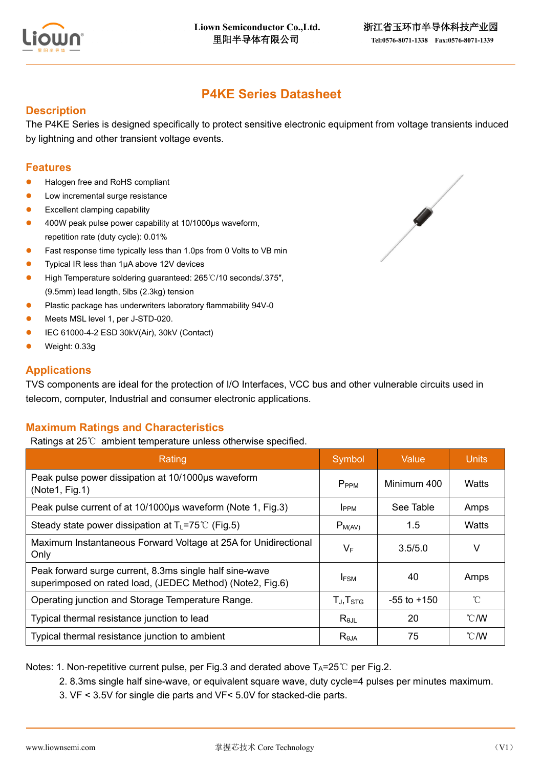

# **P4KE Series Datasheet**

## **Description**

The P4KE Series is designed specifically to protect sensitive electronic equipment from voltage transients induced by lightning and other transient voltage events.

## **Features**

- Halogen free and RoHS compliant
- ⚫ Low incremental surge resistance
- Excellent clamping capability
- ⚫ 400W peak pulse power capability at 10/1000μs waveform, repetition rate (duty cycle): 0.01%
- Fast response time typically less than 1.0ps from 0 Volts to VB min
- ⚫ Typical IR less than 1μA above 12V devices
- ⚫ High Temperature soldering guaranteed: 265℃/10 seconds/.375″, (9.5mm) lead length, 5lbs (2.3kg) tension
- ⚫ Plastic package has underwriters laboratory flammability 94V-0
- ⚫ Meets MSL level 1, per J-STD-020.
- ⚫ IEC 61000-4-2 ESD 30kV(Air), 30kV (Contact)
- ⚫ Weight: 0.33g

#### **Applications**

TVS components are ideal for the protection of I/O Interfaces, VCC bus and other vulnerable circuits used in telecom, computer, Industrial and consumer electronic applications.

#### **Maximum Ratings and Characteristics**

Ratings at 25℃ ambient temperature unless otherwise specified.

| Rating                                                                                                               | Symbol            | Value           | <b>Units</b>   |
|----------------------------------------------------------------------------------------------------------------------|-------------------|-----------------|----------------|
| Peak pulse power dissipation at 10/1000us waveform<br>(Note1, Fig.1)                                                 | P <sub>PPM</sub>  | Minimum 400     | Watts          |
| Peak pulse current of at 10/1000µs waveform (Note 1, Fig.3)                                                          | I <sub>PPM</sub>  | See Table       | Amps           |
| Steady state power dissipation at $T_L = 75^{\circ}C$ (Fig.5)                                                        | $P_{M(AV)}$       | 1.5             | Watts          |
| Maximum Instantaneous Forward Voltage at 25A for Unidirectional<br>Only                                              | $V_F$             | 3.5/5.0         | V              |
| Peak forward surge current, 8.3ms single half sine-wave<br>superimposed on rated load, (JEDEC Method) (Note2, Fig.6) | <b>IFSM</b>       | 40              | Amps           |
| Operating junction and Storage Temperature Range.                                                                    | $T_J$ , $T_{STG}$ | $-55$ to $+150$ | $^{\circ}$ C   |
| Typical thermal resistance junction to lead                                                                          | $R_{\theta$ JL    | 20              | $\degree$ C/W  |
| Typical thermal resistance junction to ambient                                                                       | $R_{\theta$ JA    | 75              | $^{\circ}$ C/W |

Notes: 1. Non-repetitive current pulse, per Fig.3 and derated above  $T_A = 25^\circ \text{C}$  per Fig.2.

- 2. 8.3ms single half sine-wave, or equivalent square wave, duty cycle=4 pulses per minutes maximum.
- 3. VF < 3.5V for single die parts and VF< 5.0V for stacked-die parts.

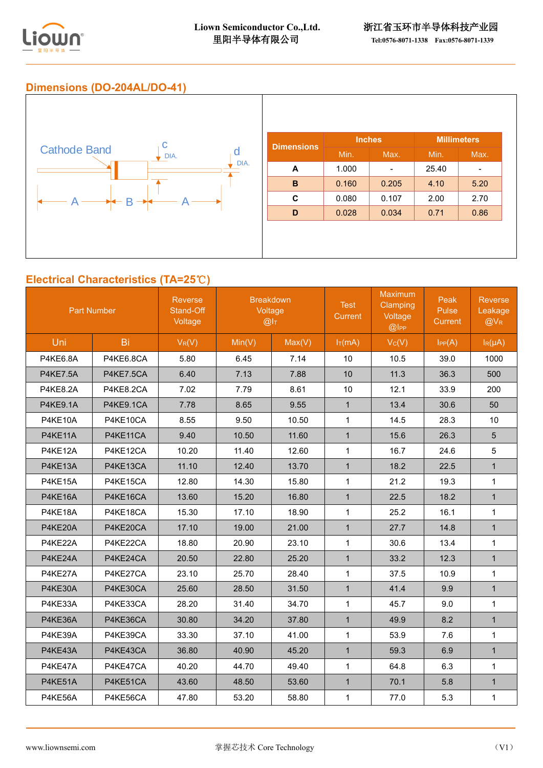

## **Dimensions (DO-204AL/DO-41)**



## **Electrical Characteristics (TA=25**℃**)**

| <b>Part Number</b> |           | Reverse<br>Stand-Off<br>Voltage | <b>Breakdown</b><br>Voltage<br>@I <sub>T</sub> |        | <b>Test</b><br>Current | <b>Maximum</b><br>Clamping<br>Voltage<br>@ | Peak<br>Pulse<br>Current | Reverse<br>Leakage<br>@VR |
|--------------------|-----------|---------------------------------|------------------------------------------------|--------|------------------------|--------------------------------------------|--------------------------|---------------------------|
| Uni                | Bi        | $V_R(V)$                        | Min(V)                                         | Max(V) | $I_T(mA)$              | Vc(V)                                      | IPP(A)                   | $I_R(\mu A)$              |
| <b>P4KE6.8A</b>    | P4KE6.8CA | 5.80                            | 6.45                                           | 7.14   | 10                     | 10.5                                       | 39.0                     | 1000                      |
| <b>P4KE7.5A</b>    | P4KE7.5CA | 6.40                            | 7.13                                           | 7.88   | 10                     | 11.3                                       | 36.3                     | 500                       |
| <b>P4KE8.2A</b>    | P4KE8.2CA | 7.02                            | 7.79                                           | 8.61   | 10                     | 12.1                                       | 33.9                     | 200                       |
| <b>P4KE9.1A</b>    | P4KE9.1CA | 7.78                            | 8.65                                           | 9.55   | $\mathbf{1}$           | 13.4                                       | 30.6                     | 50                        |
| P4KE10A            | P4KE10CA  | 8.55                            | 9.50                                           | 10.50  | $\mathbf{1}$           | 14.5                                       | 28.3                     | 10                        |
| P4KE11A            | P4KE11CA  | 9.40                            | 10.50                                          | 11.60  | $\mathbf{1}$           | 15.6                                       | 26.3                     | 5                         |
| P4KE12A            | P4KE12CA  | 10.20                           | 11.40                                          | 12.60  | $\mathbf{1}$           | 16.7                                       | 24.6                     | 5                         |
| P4KE13A            | P4KE13CA  | 11.10                           | 12.40                                          | 13.70  | $\mathbf{1}$           | 18.2                                       | 22.5                     | $\mathbf{1}$              |
| P4KE15A            | P4KE15CA  | 12.80                           | 14.30                                          | 15.80  | $\mathbf{1}$           | 21.2                                       | 19.3                     | $\mathbf{1}$              |
| P4KE16A            | P4KE16CA  | 13.60                           | 15.20                                          | 16.80  | $\mathbf{1}$           | 22.5                                       | 18.2                     | $\mathbf{1}$              |
| P4KE18A            | P4KE18CA  | 15.30                           | 17.10                                          | 18.90  | $\mathbf{1}$           | 25.2                                       | 16.1                     | $\mathbf{1}$              |
| P4KE20A            | P4KE20CA  | 17.10                           | 19.00                                          | 21.00  | $\mathbf{1}$           | 27.7                                       | 14.8                     | $\mathbf{1}$              |
| P4KE22A            | P4KE22CA  | 18.80                           | 20.90                                          | 23.10  | $\mathbf{1}$           | 30.6                                       | 13.4                     | $\mathbf{1}$              |
| P4KE24A            | P4KE24CA  | 20.50                           | 22.80                                          | 25.20  | $\mathbf{1}$           | 33.2                                       | 12.3                     | $\mathbf{1}$              |
| P4KE27A            | P4KE27CA  | 23.10                           | 25.70                                          | 28.40  | $\mathbf{1}$           | 37.5                                       | 10.9                     | $\mathbf{1}$              |
| P4KE30A            | P4KE30CA  | 25.60                           | 28.50                                          | 31.50  | $\mathbf{1}$           | 41.4                                       | 9.9                      | $\mathbf{1}$              |
| P4KE33A            | P4KE33CA  | 28.20                           | 31.40                                          | 34.70  | $\mathbf{1}$           | 45.7                                       | 9.0                      | $\mathbf{1}$              |
| P4KE36A            | P4KE36CA  | 30.80                           | 34.20                                          | 37.80  | $\mathbf{1}$           | 49.9                                       | 8.2                      | $\mathbf{1}$              |
| P4KE39A            | P4KE39CA  | 33.30                           | 37.10                                          | 41.00  | $\mathbf{1}$           | 53.9                                       | 7.6                      | $\mathbf{1}$              |
| P4KE43A            | P4KE43CA  | 36.80                           | 40.90                                          | 45.20  | $\mathbf{1}$           | 59.3                                       | 6.9                      | $\mathbf{1}$              |
| P4KE47A            | P4KE47CA  | 40.20                           | 44.70                                          | 49.40  | $\mathbf{1}$           | 64.8                                       | 6.3                      | $\mathbf{1}$              |
| P4KE51A            | P4KE51CA  | 43.60                           | 48.50                                          | 53.60  | $\mathbf{1}$           | 70.1                                       | 5.8                      | $\mathbf{1}$              |
| P4KE56A            | P4KE56CA  | 47.80                           | 53.20                                          | 58.80  | $\mathbf{1}$           | 77.0                                       | 5.3                      | $\mathbf{1}$              |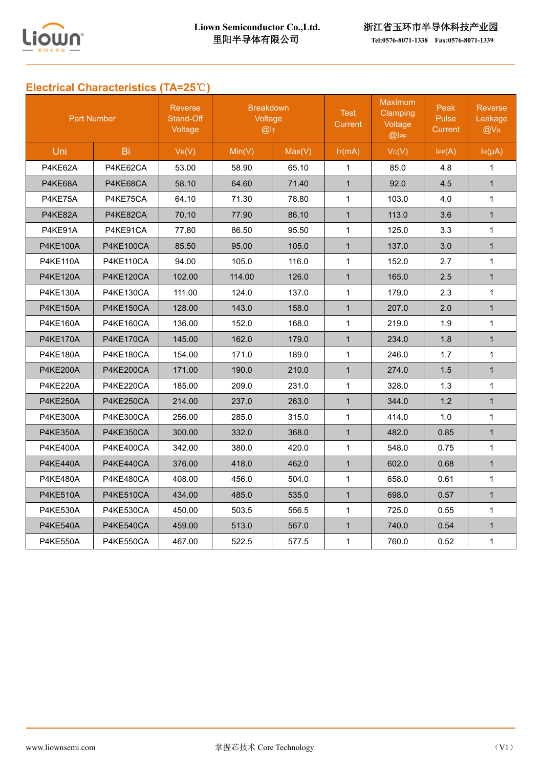

里阳半导体有限公司 **[Tel:0576-8071-1338](tel:0576-8071-1338) Fax:0576-8071-1339** 

# **Electrical Characteristics (TA=25**℃**)**

| <b>Part Number</b> |                  | <b>Reverse</b><br>Stand-Off<br>Voltage | <b>Breakdown</b><br>Voltage<br>@I <sub>T</sub> |        | <b>Test</b><br><b>Current</b> | <b>Maximum</b><br>Clamping<br>Voltage<br>@ | Peak<br>Pulse<br>Current | <b>Reverse</b><br>Leakage<br>$@V_{R}$ |
|--------------------|------------------|----------------------------------------|------------------------------------------------|--------|-------------------------------|--------------------------------------------|--------------------------|---------------------------------------|
| Uni                | Bi               | $V_R(V)$                               | Min(V)                                         | Max(V) | $I_T(mA)$                     | Vc(V)                                      | IPP(A)                   | $I_R(\mu A)$                          |
| P4KE62A            | P4KE62CA         | 53.00                                  | 58.90                                          | 65.10  | $\mathbf 1$                   | 85.0                                       | 4.8                      | $\mathbf{1}$                          |
| P4KE68A            | P4KE68CA         | 58.10                                  | 64.60                                          | 71.40  | $\mathbf{1}$                  | 92.0                                       | 4.5                      | $\mathbf{1}$                          |
| P4KE75A            | P4KE75CA         | 64.10                                  | 71.30                                          | 78.80  | $\mathbf{1}$                  | 103.0                                      | 4.0                      | $\mathbf{1}$                          |
| P4KE82A            | P4KE82CA         | 70.10                                  | 77.90                                          | 86.10  | $\mathbf{1}$                  | 113.0                                      | 3.6                      | $\mathbf{1}$                          |
| P4KE91A            | P4KE91CA         | 77.80                                  | 86.50                                          | 95.50  | $\mathbf{1}$                  | 125.0                                      | 3.3                      | $\mathbf{1}$                          |
| <b>P4KE100A</b>    | <b>P4KE100CA</b> | 85.50                                  | 95.00                                          | 105.0  | $\mathbf{1}$                  | 137.0                                      | 3.0                      | $\mathbf{1}$                          |
| <b>P4KE110A</b>    | P4KE110CA        | 94.00                                  | 105.0                                          | 116.0  | $\mathbf{1}$                  | 152.0                                      | 2.7                      | $\mathbf{1}$                          |
| <b>P4KE120A</b>    | P4KE120CA        | 102.00                                 | 114.00                                         | 126.0  | $\mathbf{1}$                  | 165.0                                      | 2.5                      | $\mathbf{1}$                          |
| <b>P4KE130A</b>    | P4KE130CA        | 111.00                                 | 124.0                                          | 137.0  | 1                             | 179.0                                      | 2.3                      | 1                                     |
| <b>P4KE150A</b>    | <b>P4KE150CA</b> | 128.00                                 | 143.0                                          | 158.0  | $\mathbf{1}$                  | 207.0                                      | 2.0                      | $\mathbf{1}$                          |
| <b>P4KE160A</b>    | <b>P4KE160CA</b> | 136.00                                 | 152.0                                          | 168.0  | $\mathbf{1}$                  | 219.0                                      | 1.9                      | $\mathbf{1}$                          |
| <b>P4KE170A</b>    | P4KE170CA        | 145.00                                 | 162.0                                          | 179.0  | $\mathbf{1}$                  | 234.0                                      | 1.8                      | $\mathbf{1}$                          |
| <b>P4KE180A</b>    | P4KE180CA        | 154.00                                 | 171.0                                          | 189.0  | $\mathbf{1}$                  | 246.0                                      | 1.7                      | $\mathbf{1}$                          |
| <b>P4KE200A</b>    | P4KE200CA        | 171.00                                 | 190.0                                          | 210.0  | $\mathbf{1}$                  | 274.0                                      | 1.5                      | $\mathbf{1}$                          |
| <b>P4KE220A</b>    | P4KE220CA        | 185.00                                 | 209.0                                          | 231.0  | $\mathbf{1}$                  | 328.0                                      | 1.3                      | $\mathbf{1}$                          |
| <b>P4KE250A</b>    | <b>P4KE250CA</b> | 214.00                                 | 237.0                                          | 263.0  | $\mathbf{1}$                  | 344.0                                      | 1.2                      | $\mathbf{1}$                          |
| <b>P4KE300A</b>    | <b>P4KE300CA</b> | 256.00                                 | 285.0                                          | 315.0  | $\mathbf{1}$                  | 414.0                                      | 1.0                      | $\mathbf{1}$                          |
| <b>P4KE350A</b>    | <b>P4KE350CA</b> | 300.00                                 | 332.0                                          | 368.0  | $\mathbf{1}$                  | 482.0                                      | 0.85                     | $\mathbf{1}$                          |
| <b>P4KE400A</b>    | P4KE400CA        | 342.00                                 | 380.0                                          | 420.0  | $\mathbf{1}$                  | 548.0                                      | 0.75                     | $\mathbf{1}$                          |
| <b>P4KE440A</b>    | P4KE440CA        | 376.00                                 | 418.0                                          | 462.0  | $\mathbf{1}$                  | 602.0                                      | 0.68                     | $\mathbf{1}$                          |
| <b>P4KE480A</b>    | P4KE480CA        | 408.00                                 | 456.0                                          | 504.0  | $\mathbf{1}$                  | 658.0                                      | 0.61                     | $\mathbf{1}$                          |
| <b>P4KE510A</b>    | P4KE510CA        | 434.00                                 | 485.0                                          | 535.0  | $\mathbf{1}$                  | 698.0                                      | 0.57                     | $\mathbf{1}$                          |
| <b>P4KE530A</b>    | P4KE530CA        | 450.00                                 | 503.5                                          | 556.5  | $\mathbf{1}$                  | 725.0                                      | 0.55                     | $\mathbf{1}$                          |
| <b>P4KE540A</b>    | P4KE540CA        | 459.00                                 | 513.0                                          | 567.0  | $\mathbf{1}$                  | 740.0                                      | 0.54                     | $\mathbf{1}$                          |
| <b>P4KE550A</b>    | P4KE550CA        | 467.00                                 | 522.5                                          | 577.5  | $\mathbf{1}$                  | 760.0                                      | 0.52                     | $\mathbf 1$                           |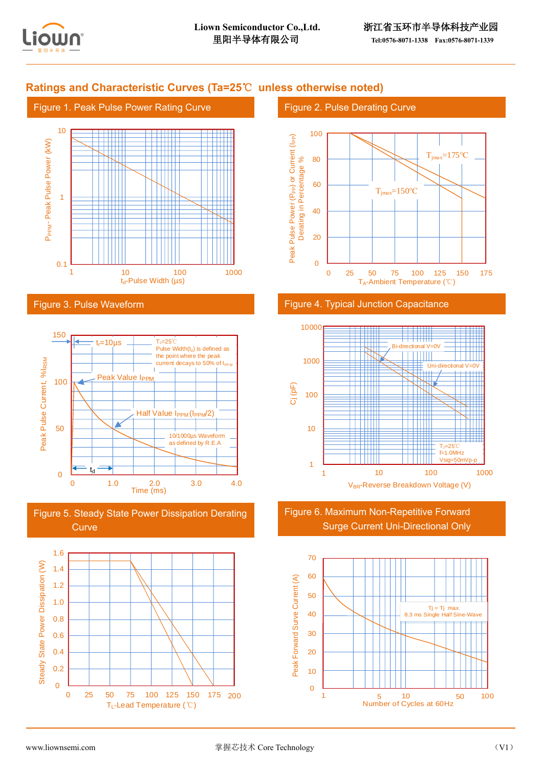

## **Ratings and Characteristic Curves (Ta=25**℃ **unless otherwise noted)**





#### Figure 3. Pulse Waveform







## Figure 2. Pulse Derating Curve







Figure 6. Maximum Non-Repetitive Forward Surge Current Uni-Directional Only

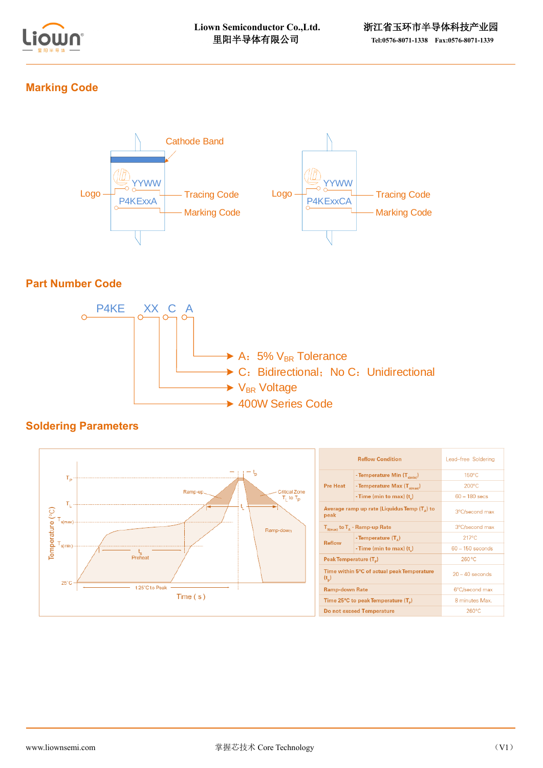

## **Marking Code**



## **Part Number Code**



## **Soldering Parameters**